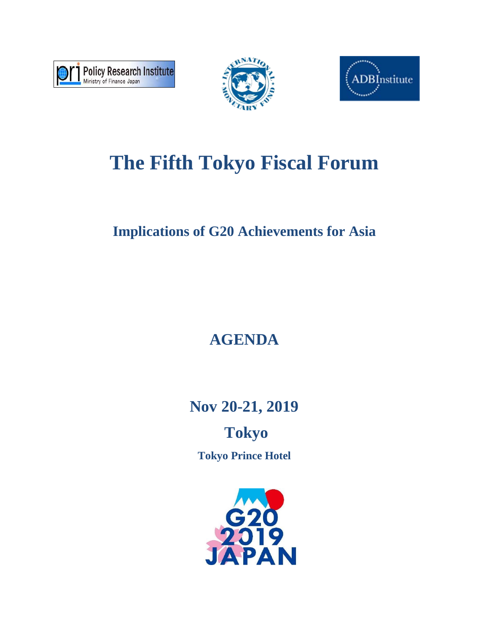





# **The Fifth Tokyo Fiscal Forum**

## **Implications of G20 Achievements for Asia**

## **AGENDA**

**Nov 20-21, 2019** 

## **Tokyo Tokyo Prince Hotel**

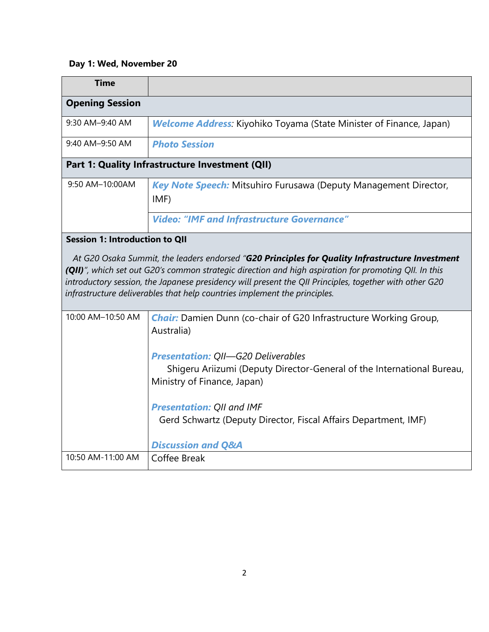### **Day 1: Wed, November 20**

| <b>Time</b>                           |                                                                                                                                                                                                                                                                                                                                                                                                 |
|---------------------------------------|-------------------------------------------------------------------------------------------------------------------------------------------------------------------------------------------------------------------------------------------------------------------------------------------------------------------------------------------------------------------------------------------------|
| <b>Opening Session</b>                |                                                                                                                                                                                                                                                                                                                                                                                                 |
| 9:30 AM-9:40 AM                       | <b>Welcome Address:</b> Kiyohiko Toyama (State Minister of Finance, Japan)                                                                                                                                                                                                                                                                                                                      |
| 9:40 AM-9:50 AM                       | <b>Photo Session</b>                                                                                                                                                                                                                                                                                                                                                                            |
|                                       | Part 1: Quality Infrastructure Investment (QII)                                                                                                                                                                                                                                                                                                                                                 |
| 9:50 AM-10:00AM                       | Key Note Speech: Mitsuhiro Furusawa (Deputy Management Director,<br>IMF)<br><b>Video: "IMF and Infrastructure Governance"</b>                                                                                                                                                                                                                                                                   |
| <b>Session 1: Introduction to QII</b> |                                                                                                                                                                                                                                                                                                                                                                                                 |
|                                       | At G20 Osaka Summit, the leaders endorsed "G20 Principles for Quality Infrastructure Investment<br>(QII)", which set out G20's common strategic direction and high aspiration for promoting QII. In this<br>introductory session, the Japanese presidency will present the QII Principles, together with other G20<br>infrastructure deliverables that help countries implement the principles. |
| 10:00 AM-10:50 AM                     | <b>Chair:</b> Damien Dunn (co-chair of G20 Infrastructure Working Group,<br>Australia)<br><b>Presentation: QII-G20 Deliverables</b><br>Shigeru Ariizumi (Deputy Director-General of the International Bureau,<br>Ministry of Finance, Japan)<br><b>Presentation: QII and IMF</b><br>Gerd Schwartz (Deputy Director, Fiscal Affairs Department, IMF)                                             |
|                                       | <b>Discussion and Q&amp;A</b>                                                                                                                                                                                                                                                                                                                                                                   |
| 10:50 AM-11:00 AM                     | Coffee Break                                                                                                                                                                                                                                                                                                                                                                                    |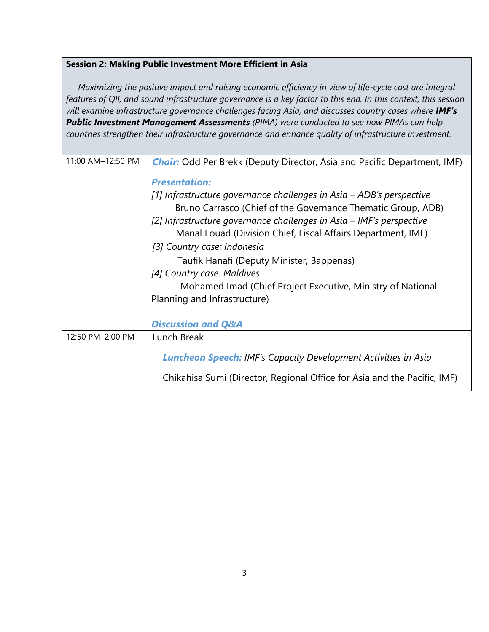#### **Session 2: Making Public Investment More Efficient in Asia**

 *Maximizing the positive impact and raising economic efficiency in view of life-cycle cost are integral features of QII, and sound infrastructure governance is a key factor to this end. In this context, this session will examine infrastructure governance challenges facing Asia, and discusses country cases where IMF's Public Investment Management Assessments (PIMA) were conducted to see how PIMAs can help countries strengthen their infrastructure governance and enhance quality of infrastructure investment.* 

| 11:00 AM-12:50 PM | <b>Chair:</b> Odd Per Brekk (Deputy Director, Asia and Pacific Department, IMF)                                                      |
|-------------------|--------------------------------------------------------------------------------------------------------------------------------------|
|                   | <b>Presentation:</b>                                                                                                                 |
|                   | [1] Infrastructure governance challenges in Asia – ADB's perspective<br>Bruno Carrasco (Chief of the Governance Thematic Group, ADB) |
|                   | [2] Infrastructure governance challenges in Asia - IMF's perspective                                                                 |
|                   | Manal Fouad (Division Chief, Fiscal Affairs Department, IMF)                                                                         |
|                   | [3] Country case: Indonesia                                                                                                          |
|                   | Taufik Hanafi (Deputy Minister, Bappenas)                                                                                            |
|                   | [4] Country case: Maldives                                                                                                           |
|                   | Mohamed Imad (Chief Project Executive, Ministry of National                                                                          |
|                   | Planning and Infrastructure)                                                                                                         |
|                   |                                                                                                                                      |
|                   | <b>Discussion and Q&amp;A</b>                                                                                                        |
| 12:50 PM-2:00 PM  | Lunch Break                                                                                                                          |
|                   | <b>Luncheon Speech:</b> IMF's Capacity Development Activities in Asia                                                                |
|                   | Chikahisa Sumi (Director, Regional Office for Asia and the Pacific, IMF)                                                             |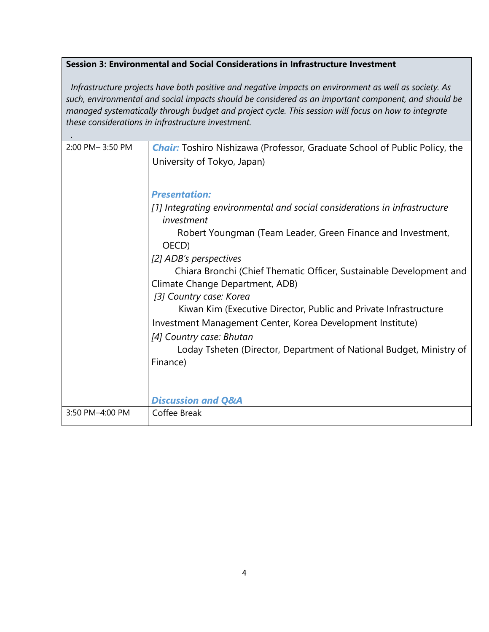#### **Session 3: Environmental and Social Considerations in Infrastructure Investment**

*Infrastructure projects have both positive and negative impacts on environment as well as society. As such, environmental and social impacts should be considered as an important component, and should be managed systematically through budget and project cycle. This session will focus on how to integrate these considerations in infrastructure investment.*

| 2:00 PM-3:50 PM      | <b>Chair:</b> Toshiro Nishizawa (Professor, Graduate School of Public Policy, the |
|----------------------|-----------------------------------------------------------------------------------|
|                      | University of Tokyo, Japan)                                                       |
|                      |                                                                                   |
|                      |                                                                                   |
|                      | <b>Presentation:</b>                                                              |
|                      | [1] Integrating environmental and social considerations in infrastructure         |
|                      | investment                                                                        |
|                      | Robert Youngman (Team Leader, Green Finance and Investment,                       |
|                      | OECD)                                                                             |
|                      | [2] ADB's perspectives                                                            |
|                      | Chiara Bronchi (Chief Thematic Officer, Sustainable Development and               |
|                      | Climate Change Department, ADB)                                                   |
|                      | [3] Country case: Korea                                                           |
|                      | Kiwan Kim (Executive Director, Public and Private Infrastructure                  |
|                      | Investment Management Center, Korea Development Institute)                        |
|                      | [4] Country case: Bhutan                                                          |
|                      | Loday Tsheten (Director, Department of National Budget, Ministry of               |
|                      | Finance)                                                                          |
|                      |                                                                                   |
|                      |                                                                                   |
|                      | <b>Discussion and Q&amp;A</b>                                                     |
| $3:50$ PM $-4:00$ PM | Coffee Break                                                                      |
|                      |                                                                                   |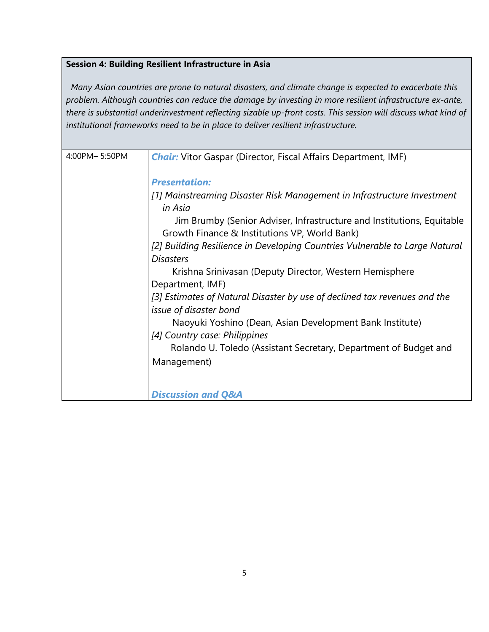#### **Session 4: Building Resilient Infrastructure in Asia**

*Many Asian countries are prone to natural disasters, and climate change is expected to exacerbate this problem. Although countries can reduce the damage by investing in more resilient infrastructure ex-ante, there is substantial underinvestment reflecting sizable up-front costs. This session will discuss what kind of institutional frameworks need to be in place to deliver resilient infrastructure.*

| 4:00PM-5:50PM | <b>Chair:</b> Vitor Gaspar (Director, Fiscal Affairs Department, IMF)                                                   |
|---------------|-------------------------------------------------------------------------------------------------------------------------|
|               | <b>Presentation:</b>                                                                                                    |
|               | [1] Mainstreaming Disaster Risk Management in Infrastructure Investment<br>in Asia                                      |
|               | Jim Brumby (Senior Adviser, Infrastructure and Institutions, Equitable<br>Growth Finance & Institutions VP, World Bank) |
|               | [2] Building Resilience in Developing Countries Vulnerable to Large Natural                                             |
|               | <b>Disasters</b>                                                                                                        |
|               | Krishna Srinivasan (Deputy Director, Western Hemisphere                                                                 |
|               | Department, IMF)                                                                                                        |
|               | [3] Estimates of Natural Disaster by use of declined tax revenues and the<br>issue of disaster bond                     |
|               | Naoyuki Yoshino (Dean, Asian Development Bank Institute)                                                                |
|               | [4] Country case: Philippines                                                                                           |
|               | Rolando U. Toledo (Assistant Secretary, Department of Budget and                                                        |
|               | Management)                                                                                                             |
|               |                                                                                                                         |
|               | <b>Discussion and Q&amp;A</b>                                                                                           |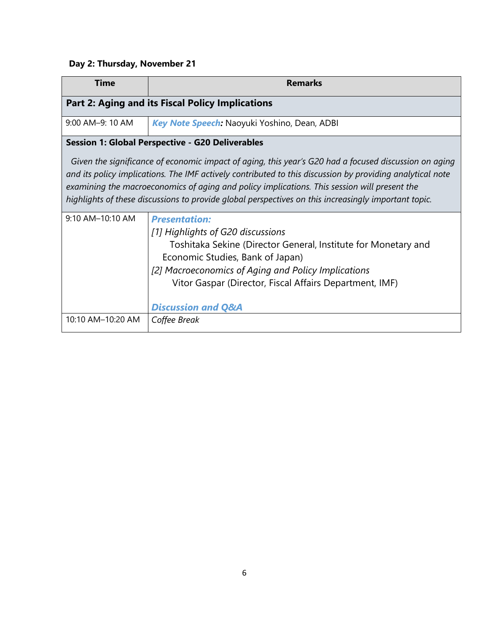### **Day 2: Thursday, November 21**

| <b>Time</b>                                             | <b>Remarks</b>                                                                                                                                                                                                                                                                                                                                                                                                             |  |
|---------------------------------------------------------|----------------------------------------------------------------------------------------------------------------------------------------------------------------------------------------------------------------------------------------------------------------------------------------------------------------------------------------------------------------------------------------------------------------------------|--|
|                                                         | <b>Part 2: Aging and its Fiscal Policy Implications</b>                                                                                                                                                                                                                                                                                                                                                                    |  |
| 9:00 AM-9: 10 AM                                        | Key Note Speech: Naoyuki Yoshino, Dean, ADBI                                                                                                                                                                                                                                                                                                                                                                               |  |
| <b>Session 1: Global Perspective - G20 Deliverables</b> |                                                                                                                                                                                                                                                                                                                                                                                                                            |  |
|                                                         | Given the significance of economic impact of aging, this year's G20 had a focused discussion on aging<br>and its policy implications. The IMF actively contributed to this discussion by providing analytical note<br>examining the macroeconomics of aging and policy implications. This session will present the<br>highlights of these discussions to provide global perspectives on this increasingly important topic. |  |
| $9:10$ AM-10:10 AM                                      | <b>Presentation:</b><br>[1] Highlights of G20 discussions<br>Toshitaka Sekine (Director General, Institute for Monetary and<br>Economic Studies, Bank of Japan)<br>[2] Macroeconomics of Aging and Policy Implications<br>Vitor Gaspar (Director, Fiscal Affairs Department, IMF)<br><b>Discussion and Q&amp;A</b>                                                                                                         |  |
| 10:10 AM-10:20 AM                                       | Coffee Break                                                                                                                                                                                                                                                                                                                                                                                                               |  |